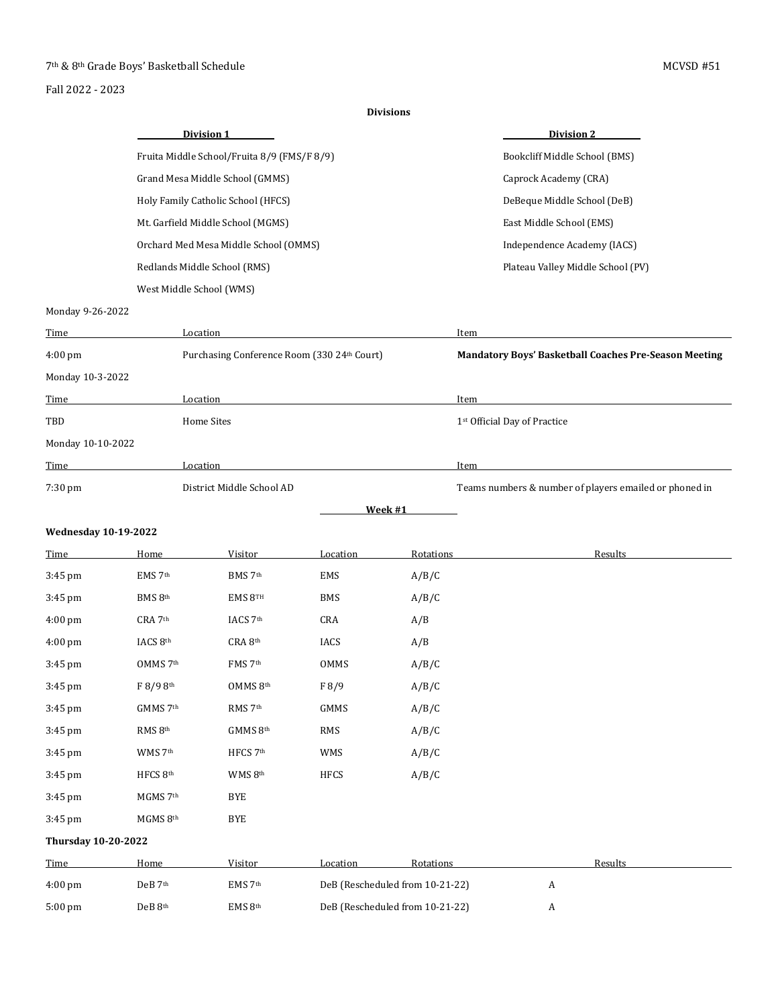#### 7th & 8th Grade Boys' Basketball Schedule MCVSD #51

# Fall 2022 - 2023

**Divisions**

|                             |                          | Division 1                                  |                        |                                 | Division 2                                             |  |  |
|-----------------------------|--------------------------|---------------------------------------------|------------------------|---------------------------------|--------------------------------------------------------|--|--|
|                             |                          | Fruita Middle School/Fruita 8/9 (FMS/F 8/9) |                        |                                 | Bookcliff Middle School (BMS)                          |  |  |
|                             |                          | Grand Mesa Middle School (GMMS)             |                        |                                 | Caprock Academy (CRA)                                  |  |  |
|                             |                          | Holy Family Catholic School (HFCS)          |                        |                                 | DeBeque Middle School (DeB)                            |  |  |
|                             |                          | Mt. Garfield Middle School (MGMS)           |                        |                                 | East Middle School (EMS)                               |  |  |
|                             |                          | Orchard Med Mesa Middle School (OMMS)       |                        |                                 | Independence Academy (IACS)                            |  |  |
|                             |                          | Redlands Middle School (RMS)                |                        |                                 | Plateau Valley Middle School (PV)                      |  |  |
|                             | West Middle School (WMS) |                                             |                        |                                 |                                                        |  |  |
| Monday 9-26-2022            |                          |                                             |                        |                                 |                                                        |  |  |
| <u>Time</u>                 | Location                 |                                             |                        |                                 | <u>Item</u>                                            |  |  |
| $4:00 \text{ pm}$           |                          | Purchasing Conference Room (330 24th Court) |                        |                                 | Mandatory Boys' Basketball Coaches Pre-Season Meeting  |  |  |
| Monday 10-3-2022            |                          |                                             |                        |                                 |                                                        |  |  |
| <u>Time</u>                 |                          | Location                                    |                        |                                 | Item                                                   |  |  |
| TBD                         |                          | <b>Home Sites</b>                           |                        |                                 | 1 <sup>st</sup> Official Day of Practice               |  |  |
| Monday 10-10-2022           |                          |                                             |                        |                                 |                                                        |  |  |
| <u>Time</u>                 | Location                 |                                             |                        |                                 | Item                                                   |  |  |
| 7:30 pm                     |                          | District Middle School AD                   |                        |                                 | Teams numbers & number of players emailed or phoned in |  |  |
|                             |                          |                                             |                        | Week $#1$                       |                                                        |  |  |
| <b>Wednesday 10-19-2022</b> |                          |                                             |                        |                                 |                                                        |  |  |
| <u>Time</u>                 | Home                     | Visitor                                     | Location               | Rotations                       | Results                                                |  |  |
| $3:45$ pm                   | $EMS$ $7th$              | BMS 7 <sup>th</sup>                         | <b>EMS</b>             | A/B/C                           |                                                        |  |  |
| 3:45 pm                     | BMS 8th                  | EMS 8TH                                     | <b>BMS</b>             | A/B/C                           |                                                        |  |  |
| $4:00 \text{ pm}$           | $CRA$ $7th$              | IACS 7th                                    | CRA                    | A/B                             |                                                        |  |  |
| 4:00 pm                     | IACS 8th                 | CRA 8th                                     | <b>IACS</b>            | A/B                             |                                                        |  |  |
| 3:45 pm                     | OMMS 7th                 | FMS 7th                                     | OMMS                   | A/B/C                           |                                                        |  |  |
| 3:45 pm                     | F 8/9 8th                | OMMS 8th                                    | F8/9                   | A/B/C                           |                                                        |  |  |
| 3:45 pm                     | $\rm GMMS$ $\rm 7^{th}$  | RMS 7 <sup>th</sup>                         | $\mathsf{GMMS}\xspace$ | A/B/C                           |                                                        |  |  |
| 3:45 pm                     | RMS 8th                  | GMMS 8th                                    | $\rm RMS$              | A/B/C                           |                                                        |  |  |
| 3:45 pm                     | WMS 7 <sup>th</sup>      | HFCS 7th                                    | WMS                    | A/B/C                           |                                                        |  |  |
| 3:45 pm                     | HFCS 8th                 | WMS 8 <sup>th</sup>                         | HFCS                   | A/B/C                           |                                                        |  |  |
| 3:45 pm                     | MGMS 7th                 | BYE                                         |                        |                                 |                                                        |  |  |
| 3:45 pm                     | MGMS 8th                 | BYE                                         |                        |                                 |                                                        |  |  |
| <b>Thursday 10-20-2022</b>  |                          |                                             |                        |                                 |                                                        |  |  |
| <b>Time</b>                 | Home                     | Visitor                                     | Location               | Rotations                       | Results                                                |  |  |
| 4:00 pm                     | DeB 7 <sup>th</sup>      | EMS 7 <sup>th</sup>                         |                        | DeB (Rescheduled from 10-21-22) | A                                                      |  |  |
| 5:00 pm                     | ${\rm DeB\ 8^{\rm th}}$  | $\mathrm{EMS}\ 8^\mathrm{th}$               |                        | DeB (Rescheduled from 10-21-22) | $\,$ A                                                 |  |  |
|                             |                          |                                             |                        |                                 |                                                        |  |  |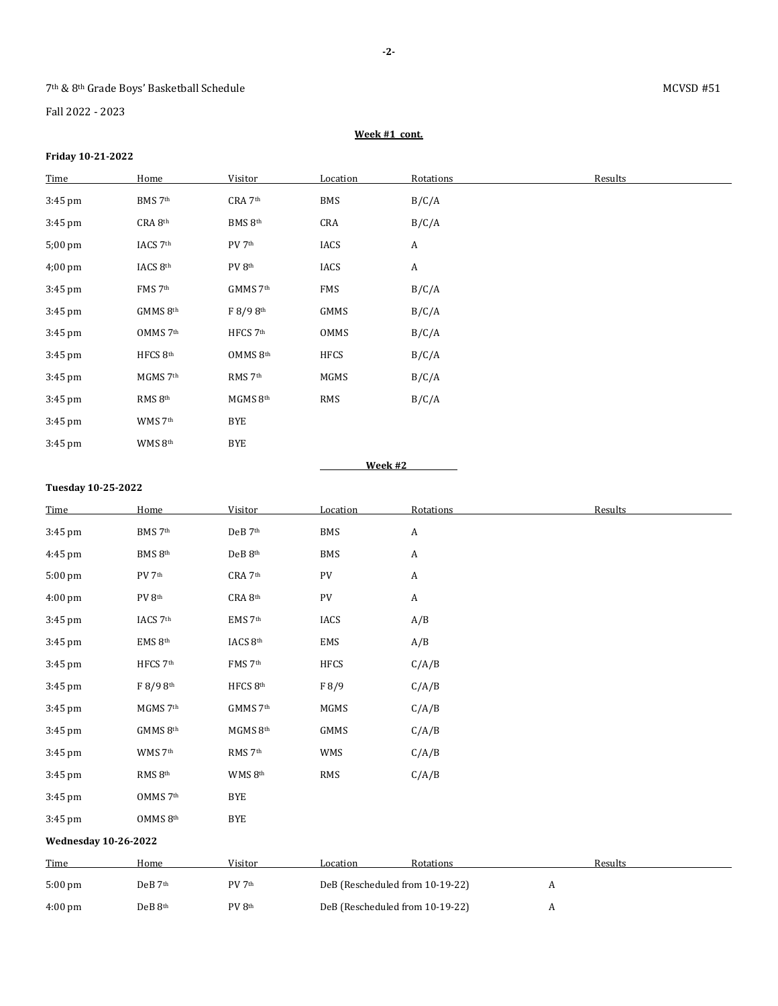Fall 2022 - 2023

**Friday 10-21-2022**

#### **Week #1 cont.**

| Time              | Home                | Visitor              | Location    | Rotations        | Results |
|-------------------|---------------------|----------------------|-------------|------------------|---------|
| 3:45 pm           | BMS 7 <sup>th</sup> | CRA 7 <sup>th</sup>  | BMS         | B/C/A            |         |
| 3:45 pm           | CRA 8 <sup>th</sup> | BMS 8 <sup>th</sup>  | CRA         | B/C/A            |         |
| $5:00 \text{ pm}$ | IACS 7th            | PV 7th               | <b>IACS</b> | $\boldsymbol{A}$ |         |
| 4;00 pm           | IACS 8th            | PV 8 <sup>th</sup>   | IACS        | $\boldsymbol{A}$ |         |
| $3:45$ pm         | FMS 7th             | GMMS 7th             | FMS         | B/C/A            |         |
| 3:45 pm           | GMMS 8th            | F 8/9 8th            | GMMS        | B/C/A            |         |
| $3:45$ pm         | OMMS 7th            | HFCS 7 <sup>th</sup> | OMMS        | B/C/A            |         |
| $3:45$ pm         | HFCS 8th            | OMMS 8th             | <b>HFCS</b> | B/C/A            |         |
| $3:45$ pm         | MGMS 7th            | RMS 7 <sup>th</sup>  | MGMS        | B/C/A            |         |
| 3:45 pm           | RMS 8th             | MGMS 8th             | <b>RMS</b>  | B/C/A            |         |
| $3:45$ pm         | WMS 7th             | <b>BYE</b>           |             |                  |         |
| $3:45$ pm         | WMS 8th             | <b>BYE</b>           |             |                  |         |
|                   |                     |                      | Week #2     |                  |         |

### **Tuesday 10-25-2022**

| Time                        | Home                          | Visitor              | Location         | Rotations        | Results    |
|-----------------------------|-------------------------------|----------------------|------------------|------------------|------------|
| 3:45 pm                     | BMS 7th                       | DeB 7th              | BMS              | $\mathbf{A}$     |            |
| 4:45 pm                     | BMS 8th                       | DeB 8th              | BMS              | A                |            |
| 5:00 pm                     | PV 7 <sup>th</sup>            | CRA 7 <sup>th</sup>  | ${\rm PV}$       | $\boldsymbol{A}$ |            |
| 4:00 pm                     | PV 8 <sup>th</sup>            | CRA 8 <sup>th</sup>  | PV               | $\boldsymbol{A}$ |            |
| 3:45 pm                     | IACS 7th                      | EMS 7th              | IACS             | A/B              |            |
| 3:45 pm                     | $\mathrm{EMS}\ 8^\mathrm{th}$ | IACS 8th             | EMS              | A/B              |            |
| 3:45 pm                     | HFCS 7th                      | FMS 7 <sup>th</sup>  | HFCS             | C/A/B            |            |
| 3:45 pm                     | $F 8/9 8$ <sup>th</sup>       | HFCS 8 <sup>th</sup> | F 8/9            | C/A/B            |            |
| 3:45 pm                     | MGMS 7th                      | GMMS 7th             | MGMS             | C/A/B            |            |
| 3:45 pm                     | $GMMS$ $8th$                  | MGMS 8th             | GMMS             | C/A/B            |            |
| 3:45 pm                     | WMS 7th                       | RMS 7 <sup>th</sup>  | WMS              | C/A/B            |            |
| 3:45 pm                     | RMS 8th                       | WMS 8th              | RMS              | C/A/B            |            |
| 3:45 pm                     | OMMS $7th$                    | BYE                  |                  |                  |            |
| 3:45 pm                     | OMMS 8th                      | <b>BYE</b>           |                  |                  |            |
| <b>Wednesday 10-26-2022</b> |                               |                      |                  |                  |            |
| mar a control               |                               | $T$ $T$ $ T$ $ T$    | $1 - 1 - 11 - 1$ | $D + L + L + L$  | $P_1 = 11$ |

| Time              | Home                | Visitor | Location                        | Rotations | Results |
|-------------------|---------------------|---------|---------------------------------|-----------|---------|
| $5:00 \text{ pm}$ | DeB 7 <sup>th</sup> | PV 7th  | DeB (Rescheduled from 10-19-22) |           |         |
| $4:00 \text{ pm}$ | DeB 8 <sup>th</sup> | PV 8th  | DeB (Rescheduled from 10-19-22) |           |         |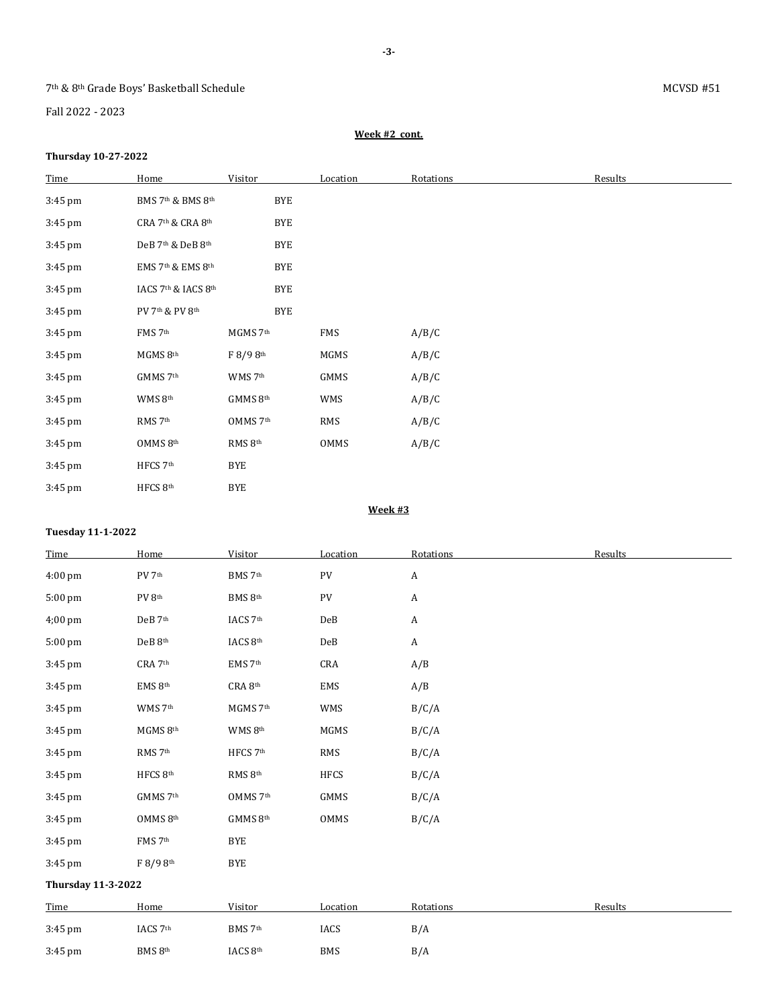Fall 2022 - 2023

#### **Week #2 cont.**

**-3-**

# **Thursday 10-27-2022**

| Time      | Home                                      | Visitor             | Location | Rotations | Results |
|-----------|-------------------------------------------|---------------------|----------|-----------|---------|
| 3:45 pm   | BMS 7 <sup>th</sup> & BMS 8 <sup>th</sup> | <b>BYE</b>          |          |           |         |
| 3:45 pm   | CRA 7 <sup>th</sup> & CRA 8 <sup>th</sup> | BYE                 |          |           |         |
| $3:45$ pm | DeB 7th & DeB 8th                         | BYE                 |          |           |         |
| $3:45$ pm | EMS 7 <sup>th</sup> & EMS 8 <sup>th</sup> | <b>BYE</b>          |          |           |         |
| 3:45 pm   | IACS 7th & IACS 8th                       | BYE                 |          |           |         |
| 3:45 pm   | PV 7 <sup>th</sup> & PV 8 <sup>th</sup>   | <b>BYE</b>          |          |           |         |
| 3:45 pm   | FMS 7 <sup>th</sup>                       | MGMS 7th            | FMS      | A/B/C     |         |
| 3:45 pm   | MGMS 8th                                  | F 8/9 8th           | MGMS     | A/B/C     |         |
| $3:45$ pm | GMMS 7th                                  | WMS 7 <sup>th</sup> | GMMS     | A/B/C     |         |
| 3:45 pm   | WMS 8 <sup>th</sup>                       | GMMS 8th            | WMS      | A/B/C     |         |
| 3:45 pm   | RMS 7th                                   | OMMS 7th            | RMS      | A/B/C     |         |
| $3:45$ pm | OMMS 8th                                  | RMS 8th             | OMMS     | A/B/C     |         |
| 3:45 pm   | HFCS 7 <sup>th</sup>                      | <b>BYE</b>          |          |           |         |
| $3:45$ pm | HFCS 8th                                  | BYE                 |          |           |         |

### **Week #3**

# **Tuesday 11-1-2022**

| Time                      | Home                 | Visitor                       | Location             | Rotations   | Results |  |
|---------------------------|----------------------|-------------------------------|----------------------|-------------|---------|--|
| 4:00 pm                   | PV 7 <sup>th</sup>   | BMS 7th                       | PV                   | A           |         |  |
| 5:00 pm                   | $PV\ 8^{\text{th}}$  | BMS 8th                       | PV                   | A           |         |  |
| 4;00 pm                   | DeB 7th              | IACS 7th                      | $_{\rm DeB}$         | A           |         |  |
| 5:00 pm                   | DeB 8th              | IACS 8th                      | $_{\rm DeB}$         | $\,$ A $\,$ |         |  |
| 3:45 pm                   | CRA 7 <sup>th</sup>  | EMS 7th                       | $\operatorname{CRA}$ | A/B         |         |  |
| 3:45 pm                   | $EMS\ 8^{\text{th}}$ | $\mathsf{CRA}\ 8^\mathrm{th}$ | EMS                  | A/B         |         |  |
| 3:45 pm                   | WMS 7 <sup>th</sup>  | MGMS 7th                      | WMS                  | B/C/A       |         |  |
| 3:45 pm                   | MGMS 8th             | WMS 8 <sup>th</sup>           | $MGMS$               | B/C/A       |         |  |
| 3:45 pm                   | RMS 7th              | HFCS 7th                      | RMS                  | B/C/A       |         |  |
| 3:45 pm                   | HFCS 8th             | RMS 8 <sup>th</sup>           | HFCS                 | B/C/A       |         |  |
| 3:45 pm                   | $\rm GMMS$ 7th       | $\rm OMMS$ 7th                | GMMS                 | B/C/A       |         |  |
| 3:45 pm                   | $\rm OMMS$ 8th       | $\rm GMMS$ 8th                | OMMS                 | B/C/A       |         |  |
| 3:45 pm                   | FMS 7 <sup>th</sup>  | BYE                           |                      |             |         |  |
| 3:45 pm                   | F 8/9 8th            | BYE                           |                      |             |         |  |
| <b>Thursday 11-3-2022</b> |                      |                               |                      |             |         |  |
| Time                      | Home                 | Visitor                       | Location             | Rotations   | Results |  |
| 3:45 pm                   | IACS 7th             | BMS 7th                       | IACS                 | B/A         |         |  |
| 3:45 pm                   | BMS 8th              | IACS 8th                      | <b>BMS</b>           | B/A         |         |  |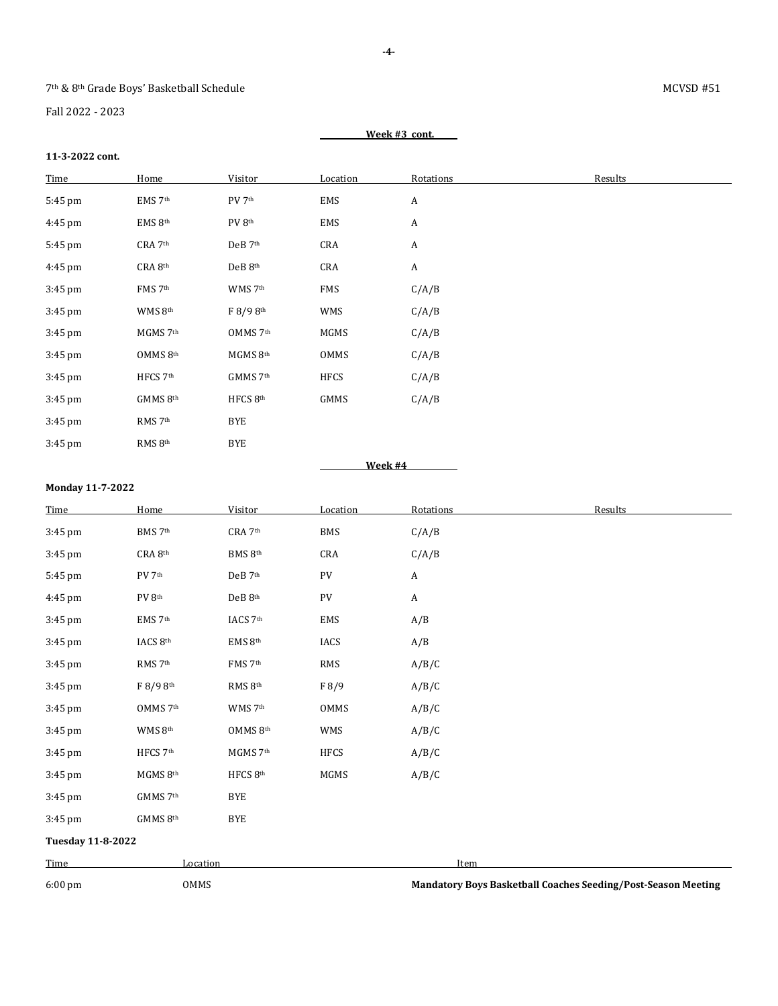Fall 2022 - 2023

| 11-3-2022 cont.         |                     |                     |             |                  |         |
|-------------------------|---------------------|---------------------|-------------|------------------|---------|
| Time                    | Home                | Visitor             | Location    | Rotations        | Results |
| 5:45 pm                 | EMS 7 <sup>th</sup> | PV 7 <sup>th</sup>  | EMS         | A                |         |
| 4:45 pm                 | EMS 8 <sup>th</sup> | PV 8 <sup>th</sup>  | EMS         | $\boldsymbol{A}$ |         |
| 5:45 pm                 | CRA 7 <sup>th</sup> | DeB 7th             | CRA         | $\boldsymbol{A}$ |         |
| 4:45 pm                 | $\rm CRA~8^{th}$    | DeB 8th             | CRA         | $\boldsymbol{A}$ |         |
| 3:45 pm                 | FMS 7 <sup>th</sup> | WMS 7 <sup>th</sup> | FMS         | C/A/B            |         |
| 3:45 pm                 | WMS 8 <sup>th</sup> | F 8/9 8th           | WMS         | C/A/B            |         |
| 3:45 pm                 | MGMS 7th            | OMMS $7th$          | MGMS        | C/A/B            |         |
| 3:45 pm                 | OMMS 8th            | MGMS 8th            | OMMS        | C/A/B            |         |
| $3:45$ pm               | HFCS 7th            | $GMMS$ $7th$        | <b>HFCS</b> | C/A/B            |         |
| 3:45 pm                 | GMMS 8th            | HFCS 8th            | GMMS        | C/A/B            |         |
| 3:45 pm                 | RMS 7th             | BYE                 |             |                  |         |
| 3:45 pm                 | RMS 8th             | BYE                 |             |                  |         |
|                         |                     |                     | Week #4     |                  |         |
| <b>Monday 11-7-2022</b> |                     |                     |             |                  |         |

| Time                     | Home               | Visitor             | Location   | Rotations                                                     | Results |
|--------------------------|--------------------|---------------------|------------|---------------------------------------------------------------|---------|
| 3:45 pm                  | BMS 7th            | CRA 7 <sup>th</sup> | <b>BMS</b> | C/A/B                                                         |         |
| 3:45 pm                  | CRA 8th            | BMS 8th             | CRA        | C/A/B                                                         |         |
| 5:45 pm                  | PV 7 <sup>th</sup> | DeB 7th             | PV         | $\boldsymbol{A}$                                              |         |
| 4:45 pm                  | PV 8 <sup>th</sup> | DeB 8th             | PV         | $\,$ A                                                        |         |
| 3:45 pm                  | EMS 7th            | IACS 7th            | EMS        | A/B                                                           |         |
| 3:45 pm                  | IACS 8th           | EMS 8 <sup>th</sup> | IACS       | A/B                                                           |         |
| 3:45 pm                  | RMS 7th            | FMS 7th             | RMS        | A/B/C                                                         |         |
| 3:45 pm                  | F 8/9 8th          | RMS 8 <sup>th</sup> | F8/9       | A/B/C                                                         |         |
| 3:45 pm                  | OMMS 7th           | WMS 7 <sup>th</sup> | OMMS       | A/B/C                                                         |         |
| 3:45 pm                  | WMS 8th            | OMMS 8th            | <b>WMS</b> | A/B/C                                                         |         |
| 3:45 pm                  | HFCS 7th           | MGMS 7th            | HFCS       | A/B/C                                                         |         |
| 3:45 pm                  | MGMS 8th           | HFCS 8th            | MGMS       | A/B/C                                                         |         |
| 3:45 pm                  | GMMS 7th           | <b>BYE</b>          |            |                                                               |         |
| 3:45 pm                  | GMMS 8th           | <b>BYE</b>          |            |                                                               |         |
| <b>Tuesday 11-8-2022</b> |                    |                     |            |                                                               |         |
| Time                     | Location           |                     |            | Item                                                          |         |
| $6:00$ pm                | OMMS               |                     |            | Mandatory Boys Basketball Coaches Seeding/Post-Season Meeting |         |

**Week #3 cont.**